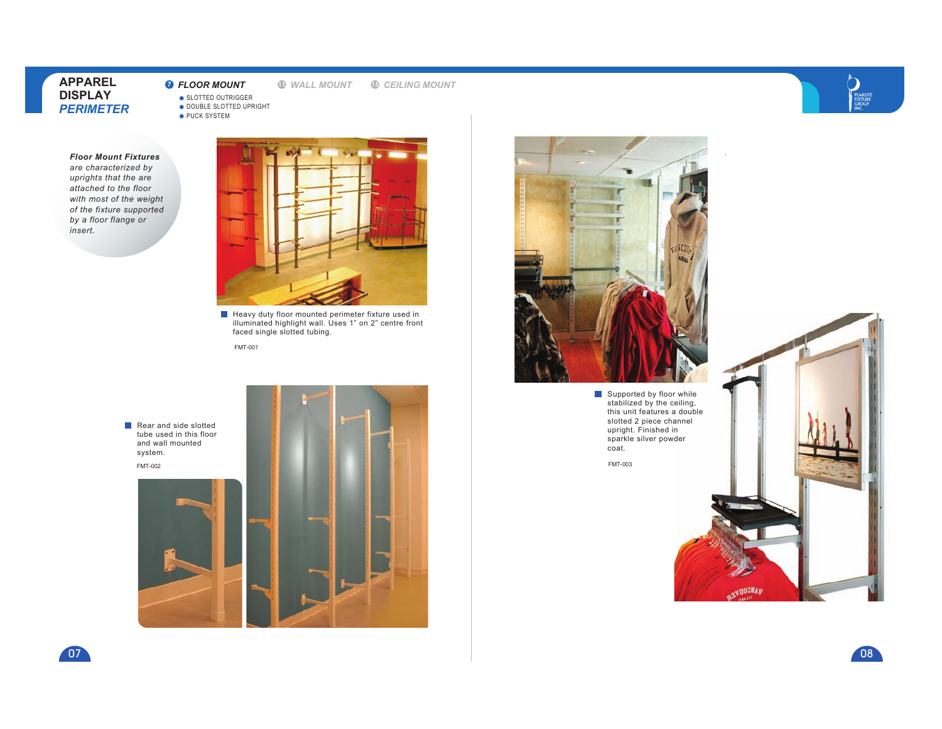**7** *FLOOR MOUNT*

**<sup>11</sup>** *WALL MOUNT* **<sup>15</sup>** *CEILING MOUNT*

SLOTTED OUTRIGGER DOUBLE SLOTTED UPRIGHT

● PUCK SYSTEM

 *Floor Mount Fixtures are characterized by uprights that the are attached to the floor with most of the weight of the fixture supported by a floor flange or insert.*



Heavy duty floor mounted perimeter fixture used in illuminated highlight wall. Uses 1" on 2" centre front faced single slotted tubing.

FMT-001

Rear and side slotted tube used in this floor and wall mounted system.FMT-002





Supported by floor while stabilized by the ceiling, this unit features a double slotted 2 piece channel upright. Finished in sparkle silver powder coat.



PEARLITE<br>FIXTURE<br>GROUP

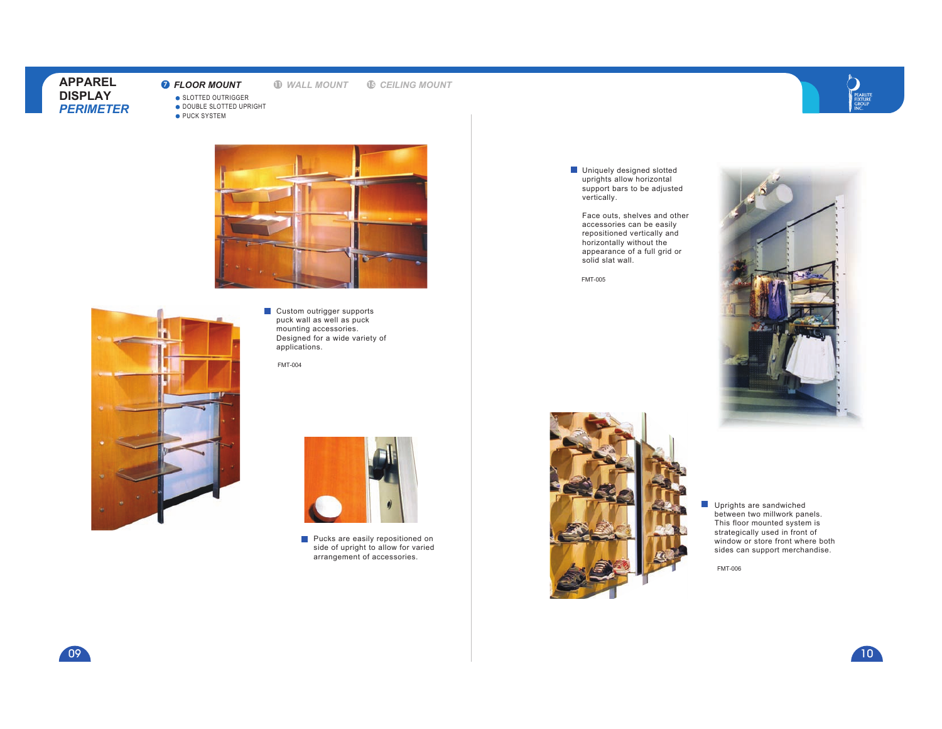# **7** *FLOOR MOUNT*

**<sup>11</sup>** *WALL MOUNT* **<sup>15</sup>** *CEILING MOUNT*



**SLOTTED OUTRIGGER** DOUBLE SLOTTED UPRIGHT

● PUCK SYSTEM





Custom outrigger supports puck wall as well as puck mounting accessories. Designed for a wide variety of applications.

FMT-004



**Pucks are easily repositioned on**  side of upright to allow for varied arrangement of accessories.

Uniquely designed slotted uprights allow horizontal support bars to be adjusted vertically.

Face outs, shelves and other accessories can be easily repositioned vertically and horizontally without the appearance of a full grid or solid slat wall.

FMT-005





 $\Box$ Uprights are sandwiched between two millwork panels. This floor mounted system is strategically used in front of window or store front where both sides can support merchandise.

FMT-006



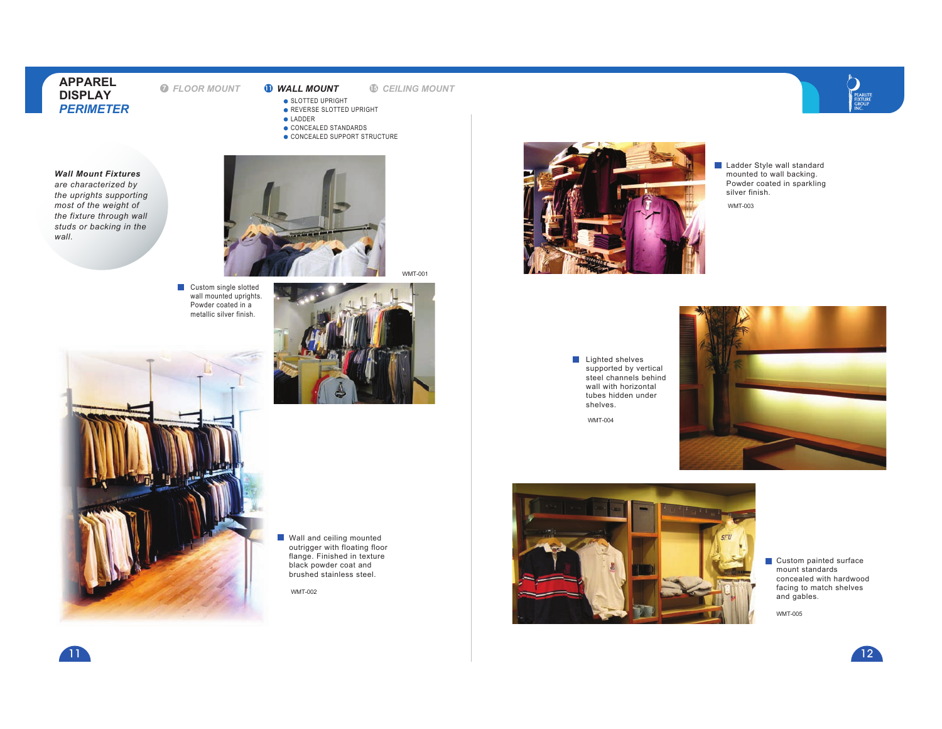**7** *FLOOR MOUNT*

**<sup>11</sup>** *WALL MOUNT* **<sup>15</sup>** *CEILING MOUNT*

WMT-001

- **SLOTTED UPRIGHT**
- REVERSE SLOTTED UPRIGHT**C**LADDER
- CONCEALED STANDARDS
- CONCEALED SUPPORT STRUCTURE







WMT-002



PEARLITE<br>FIXTURE<br>GROUP

WMT-003

Lighted shelves supported by vertical steel channels behind wall with horizontal tubes hidden under shelves.

WMT-004





Custom painted surface mount standards concealed with hardwood facing to match shelves<br>and gables.

WMT-005







11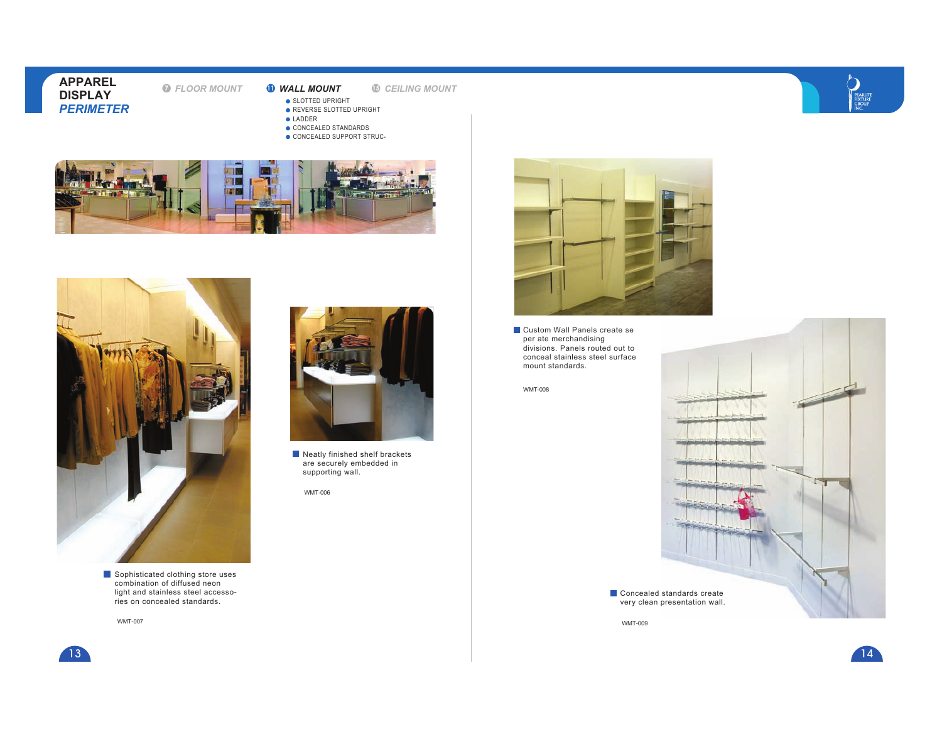**7** *FLOOR MOUNT*

**<sup>11</sup>** *WALL MOUNT* **<sup>15</sup>** *CEILING MOUNT*



- **SLOTTED UPRIGHT** 
	- REVERSE SLOTTED UPRIGHT
- **C**LADDER
- CONCEALED STANDARDSCONCEALED SUPPORT STRUC-





 light and stainless steel accessories on concealed standards.

WMT-007

- - Neatly finished shelf brackets are securely embedded in supporting wall.



**Custom Wall Panels create se** per ate merchandising divisions. Panels routed out to conceal stainless steel surface mount standards.